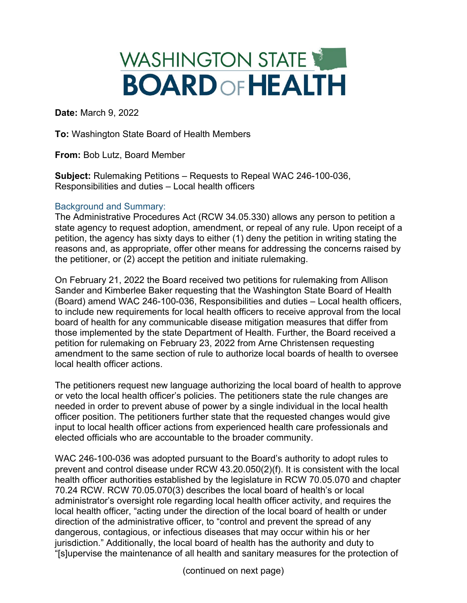# WASHINGTON STATE **BOARDOFHEALTH**

**Date:** March 9, 2022

**To:** Washington State Board of Health Members

**From:** Bob Lutz, Board Member

**Subject:** Rulemaking Petitions – Requests to Repeal WAC 246-100-036, Responsibilities and duties – Local health officers

# Background and Summary:

The Administrative Procedures Act (RCW 34.05.330) allows any person to petition a state agency to request adoption, amendment, or repeal of any rule. Upon receipt of a petition, the agency has sixty days to either (1) deny the petition in writing stating the reasons and, as appropriate, offer other means for addressing the concerns raised by the petitioner, or (2) accept the petition and initiate rulemaking.

On February 21, 2022 the Board received two petitions for rulemaking from Allison Sander and Kimberlee Baker requesting that the Washington State Board of Health (Board) amend WAC 246-100-036, Responsibilities and duties – Local health officers, to include new requirements for local health officers to receive approval from the local board of health for any communicable disease mitigation measures that differ from those implemented by the state Department of Health. Further, the Board received a petition for rulemaking on February 23, 2022 from Arne Christensen requesting amendment to the same section of rule to authorize local boards of health to oversee local health officer actions.

The petitioners request new language authorizing the local board of health to approve or veto the local health officer's policies. The petitioners state the rule changes are needed in order to prevent abuse of power by a single individual in the local health officer position. The petitioners further state that the requested changes would give input to local health officer actions from experienced health care professionals and elected officials who are accountable to the broader community.

WAC 246-100-036 was adopted pursuant to the Board's authority to adopt rules to prevent and control disease under RCW 43.20.050(2)(f). It is consistent with the local health officer authorities established by the legislature in RCW 70.05.070 and chapter 70.24 RCW. RCW 70.05.070(3) describes the local board of health's or local administrator's oversight role regarding local health officer activity, and requires the local health officer, "acting under the direction of the local board of health or under direction of the administrative officer, to "control and prevent the spread of any dangerous, contagious, or infectious diseases that may occur within his or her jurisdiction." Additionally, the local board of health has the authority and duty to "[s]upervise the maintenance of all health and sanitary measures for the protection of

(continued on next page)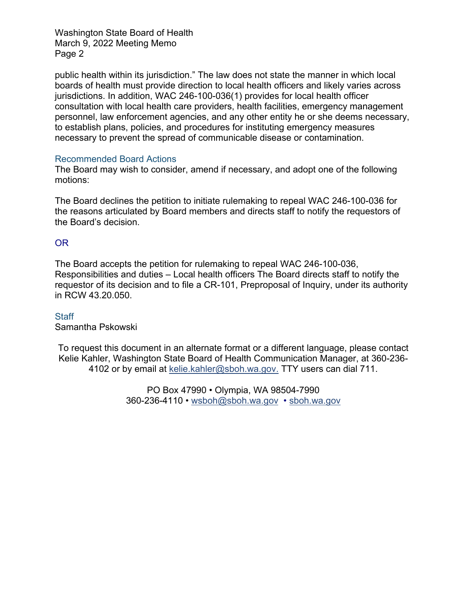Washington State Board of Health March 9, 2022 Meeting Memo Page 2

public health within its jurisdiction." The law does not state the manner in which local boards of health must provide direction to local health officers and likely varies across jurisdictions. In addition, WAC 246-100-036(1) provides for local health officer consultation with local health care providers, health facilities, emergency management personnel, law enforcement agencies, and any other entity he or she deems necessary, to establish plans, policies, and procedures for instituting emergency measures necessary to prevent the spread of communicable disease or contamination.

### Recommended Board Actions

The Board may wish to consider, amend if necessary, and adopt one of the following motions:

The Board declines the petition to initiate rulemaking to repeal WAC 246-100-036 for the reasons articulated by Board members and directs staff to notify the requestors of the Board's decision.

# OR

The Board accepts the petition for rulemaking to repeal WAC 246-100-036, Responsibilities and duties – Local health officers The Board directs staff to notify the requestor of its decision and to file a CR-101, Preproposal of Inquiry, under its authority in RCW 43.20.050.

### **Staff**

Samantha Pskowski

To request this document in an alternate format or a different language, please contact Kelie Kahler, Washington State Board of Health Communication Manager, at 360-236- 4102 or by email at [kelie.kahler@sboh.wa.gov.](mailto:kelie.Kahler@sboh.wa.gov) TTY users can dial 711.

> PO Box 47990 • Olympia, WA 98504-7990 360-236-4110 • [wsboh@sboh.wa.gov](mailto:wsboh@sboh.wa.gov) • [sboh.wa.gov](http://www.sboh.wa.gov/)